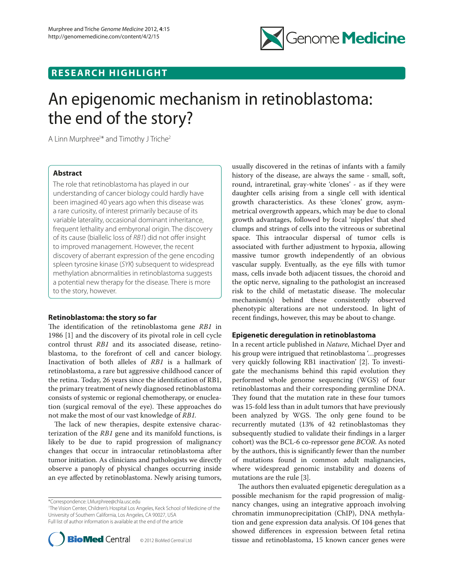

# **RESEARCH HIGHLIGHT**

# An epigenomic mechanism in retinoblastoma: the end of the story?

A Linn Murphree<sup>1\*</sup> and Timothy J Triche<sup>2</sup>

# **Abstract**

The role that retinoblastoma has played in our understanding of cancer biology could hardly have been imagined 40 years ago when this disease was a rare curiosity, of interest primarily because of its variable laterality, occasional dominant inheritance, frequent lethality and embyronal origin. The discovery of its cause (biallelic loss of RB1) did not offer insight to improved management. However, the recent discovery of aberrant expression of the gene encoding spleen tyrosine kinase (*SYK*) subsequent to widespread methylation abnormalities in retinoblastoma suggests a potential new therapy for the disease. There is more to the story, however.

# **Retinoblastoma: the story so far**

The identification of the retinoblastoma gene *RB1* in 1986 [1] and the discovery of its pivotal role in cell cycle control thrust *RB1* and its associated disease, retinoblastoma, to the forefront of cell and cancer biology. Inactivation of both alleles of *RB1* is a hallmark of retinoblastoma, a rare but aggressive childhood cancer of the retina. Today, 26 years since the identification of RB1, the primary treatment of newly diagnosed retinoblastoma consists of systemic or regional chemotherapy, or enucleation (surgical removal of the eye). These approaches do not make the most of our vast knowledge of *RB1.*

The lack of new therapies, despite extensive characterization of the *RB1* gene and its manifold functions, is likely to be due to rapid progression of malignancy changes that occur in intraocular retinoblastoma after tumor initiation. As clinicians and pathologists we directly observe a panoply of physical changes occurring inside an eye affected by retinoblastoma. Newly arising tumors,

<sup>1</sup> The Vision Center, Children's Hospital Los Angeles, Keck School of Medicine of the University of Southern California, Los Angeles, CA 90027, USA Full list of author information is available at the end of the article



usually discovered in the retinas of infants with a family history of the disease, are always the same - small, soft, round, intraretinal, gray-white 'clones' - as if they were daughter cells arising from a single cell with identical growth characteristics. As these 'clones' grow, asymmetrical overgrowth appears, which may be due to clonal growth advantages, followed by focal 'nipples' that shed clumps and strings of cells into the vitreous or subretinal space. This intraocular dispersal of tumor cells is associated with further adjustment to hypoxia, allowing massive tumor growth independently of an obvious vascular supply. Eventually, as the eye fills with tumor mass, cells invade both adjacent tissues, the choroid and the optic nerve, signaling to the pathologist an increased risk to the child of metastatic disease. The molecular mechanism(s) behind these consistently observed phenotypic alterations are not understood. In light of recent findings, however, this may be about to change.

### **Epigenetic deregulation in retinoblastoma**

In a recent article published in *Nature*, Michael Dyer and his group were intrigued that retinoblastoma '…progresses very quickly following RB1 inactivation' [2]. To investigate the mechanisms behind this rapid evolution they performed whole genome sequencing (WGS) of four retinoblastomas and their corresponding germline DNA. They found that the mutation rate in these four tumors was 15-fold less than in adult tumors that have previously been analyzed by WGS. The only gene found to be recurrently mutated (13% of 42 retinoblastomas they subsequently studied to validate their findings in a larger cohort) was the BCL-6 co-repressor gene *BCOR*. As noted by the authors, this is significantly fewer than the number of mutations found in common adult malignancies, where widespread genomic instability and dozens of mutations are the rule [3].

The authors then evaluated epigenetic deregulation as a possible mechanism for the rapid progression of malignancy changes, using an integrative approach involving chromatin immunoprecipitation (ChIP), DNA methylation and gene expression data analysis. Of 104 genes that showed differences in expression between fetal retina tissue and retinoblastoma, 15 known cancer genes were

<sup>\*</sup>Correspondence: LMurphree@chla.usc.edu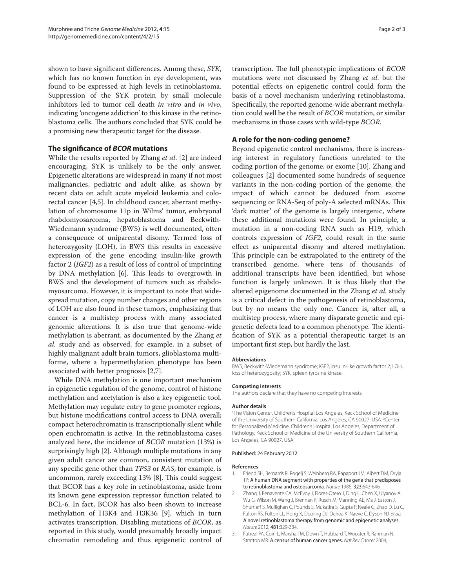shown to have significant differences. Among these, *SYK*, which has no known function in eye development, was found to be expressed at high levels in retinoblastoma. Suppression of the SYK protein by small molecule inhibitors led to tumor cell death *in vitro* and *in vivo*, indicating 'oncogene addiction' to this kinase in the retinoblastoma cells. The authors concluded that SYK could be a promising new therapeutic target for the disease.

# **The significance of** *BCOR* **mutations**

While the results reported by Zhang *et al*. [2] are indeed encouraging, SYK is unlikely to be the only answer. Epigenetic alterations are widespread in many if not most malignancies, pediatric and adult alike, as shown by recent data on adult acute myeloid leukemia and colorectal cancer [4,5]. In childhood cancer, aberrant methylation of chromosome 11p in Wilms' tumor, embryonal rhabdomyosarcoma, hepatoblastoma and Beckwith-Wiedemann syndrome (BWS) is well documented, often a consequence of uniparental disomy. Termed loss of heterozygosity (LOH), in BWS this results in excessive expression of the gene encoding insulin-like growth factor 2 (*IGF2*) as a result of loss of control of imprinting by DNA methylation [6]. This leads to overgrowth in BWS and the development of tumors such as rhabdomyosarcoma. However, it is important to note that widespread mutation, copy number changes and other regions of LOH are also found in these tumors, emphasizing that cancer is a multistep process with many associated genomic alterations. It is also true that genome-wide methylation is aberrant, as documented by the Zhang *et al.* study and as observed, for example, in a subset of highly malignant adult brain tumors, glioblastoma multiforme, where a hypermethylation phenotype has been associated with better prognosis [2,7].

While DNA methylation is one important mechanism in epigenetic regulation of the genome, control of histone methylation and acetylation is also a key epigenetic tool. Methylation may regulate entry to gene promoter regions, but histone modifications control access to DNA overall; compact heterochromatin is transcriptionally silent while open euchromatin is active. In the retinoblastoma cases analyzed here, the incidence of *BCOR* mutation (13%) is surprisingly high [2]. Although multiple mutations in any given adult cancer are common, consistent mutation of any specific gene other than *TP53* or *RAS*, for example, is uncommon, rarely exceeding 13% [8]. This could suggest that BCOR has a key role in retinoblastoma, aside from its known gene expression repressor function related to BCL-6. In fact, BCOR has also been shown to increase methylation of H3K4 and H3K36 [9], which in turn activates transcription. Disabling mutations of *BCOR*, as reported in this study, would presumably broadly impact chromatin remodeling and thus epigenetic control of

transcription. The full phenotypic implications of *BCOR* mutations were not discussed by Zhang *et al*. but the potential effects on epigenetic control could form the basis of a novel mechanism underlying retinoblastoma. Specifically, the reported genome-wide aberrant methylation could well be the result of *BCOR* mutation, or similar mechanisms in those cases with wild-type *BCOR*.

# **A role for the non-coding genome?**

Beyond epigenetic control mechanisms, there is increasing interest in regulatory functions unrelated to the coding portion of the genome, or exome [10]. Zhang and colleagues [2] documented some hundreds of sequence variants in the non-coding portion of the genome, the impact of which cannot be deduced from exome sequencing or RNA-Seq of poly-A selected mRNAs. This 'dark matter' of the genome is largely intergenic, where these additional mutations were found. In principle, a mutation in a non-coding RNA such as H19, which controls expression of *IGF2*, could result in the same effect as uniparental disomy and altered methylation. This principle can be extrapolated to the entirety of the transcribed genome, where tens of thousands of additional transcripts have been identified, but whose function is largely unknown. It is thus likely that the altered epigenome documented in the Zhang *et al.* study is a critical defect in the pathogenesis of retinoblastoma, but by no means the only one. Cancer is, after all, a multistep process, where many disparate genetic and epigenetic defects lead to a common phenotype. The identification of SYK as a potential therapeutic target is an important first step, but hardly the last.

#### **Abbreviations**

BWS, Beckwith-Wiedemann syndrome; IGF2, insulin-like growth factor 2; LOH, loss of heterozygosity; SYK, spleen tyrosine kinase.

#### **Competing interests**

The authors declare that they have no competing interests.

#### **Author details**

1 The Vision Center, Children's Hospital Los Angeles, Keck School of Medicine of the University of Southern California, Los Angeles, CA 90027, USA. <sup>2</sup>Center for Personalized Medicine, Children's Hospital Los Angeles, Department of Pathology, Keck School of Medicine of the University of Southern California, Los Angeles, CA 90027, USA.

#### Published: 24 February 2012

#### **References**

- 1. Friend SH, Bernards R, Rogelj S, Weinberg RA, Rapaport JM, Albert DM, Dryja TP: A human DNA segment with properties of the gene that predisposes to retinoblastoma and osteosarcoma*. Nature* 1986, 323:643-646.
- 2. Zhang J, Benavente CA, McEvoy J, Flores-Otero J, Ding L, Chen X, Ulyanov A, Wu G, Wilson M, Wang J, Brennan R, Rusch M, Manning AL, Ma J, Easton J, Shurtleff S, Mullighan C, Pounds S, Mukatira S, Gupta P, Neale G, Zhao D, Lu C, Fulton RS, Fulton LL, Hong X, Dooling DJ, Ochoa K, Naeve C, Dyson NJ, *et al*.: A novel retinoblastoma therapy from genomic and epigenetic analyses. *Nature* 2012, 481:329-334.
- 3. Futreal PA, Coin L, Marshall M, Down T, Hubbard T, Wooster R, Rahman N, Stratton MR: A census of human cancer genes. *Nat Rev Cancer* 2004,